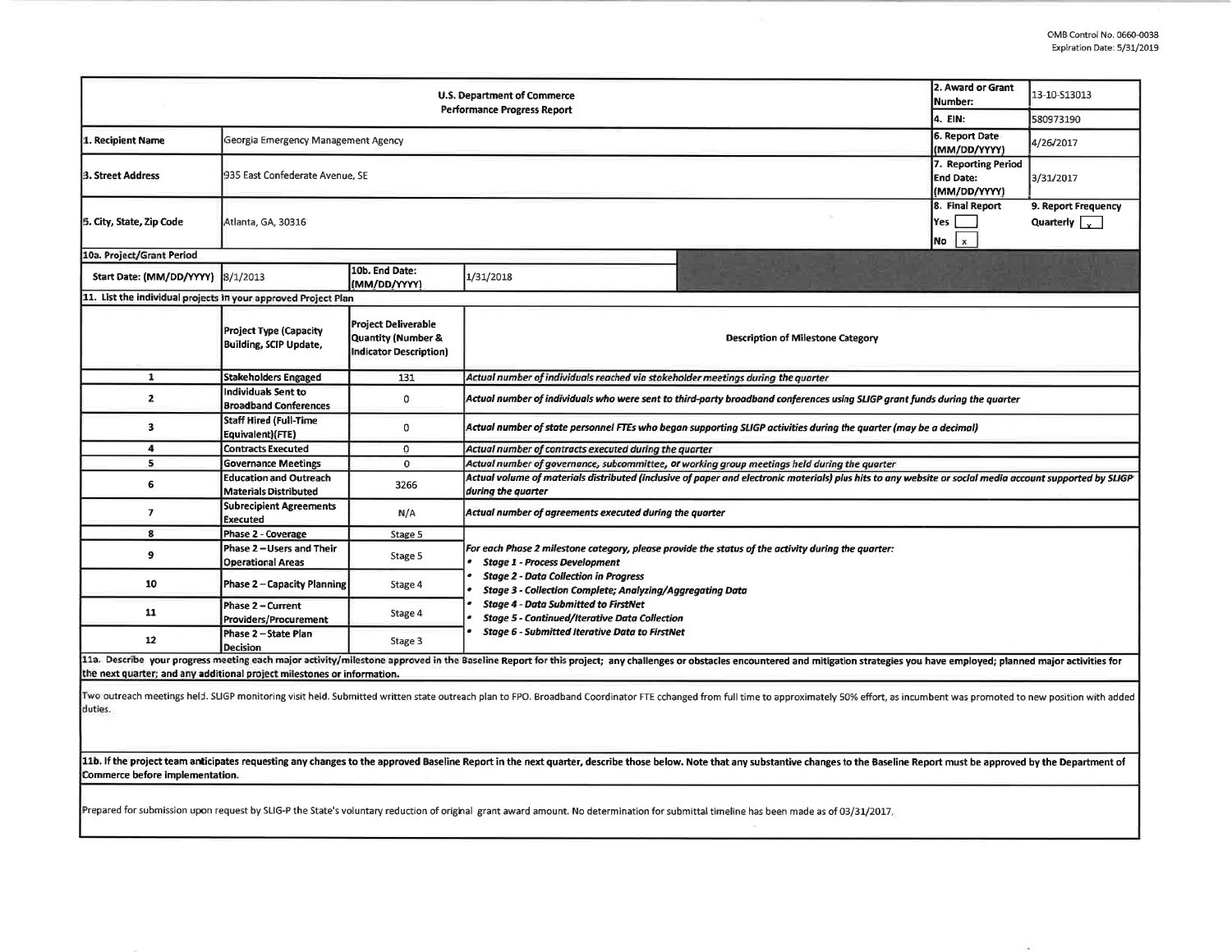| <b>U.S. Department of Commerce</b><br>Performance Progress Report                                                                                                                                                                                                                                         |                                                                |                                                                            |                                                                                                                                                                                                                                                                                                                                                                       |  | 13-10-S13013 |  |  |  |  |
|-----------------------------------------------------------------------------------------------------------------------------------------------------------------------------------------------------------------------------------------------------------------------------------------------------------|----------------------------------------------------------------|----------------------------------------------------------------------------|-----------------------------------------------------------------------------------------------------------------------------------------------------------------------------------------------------------------------------------------------------------------------------------------------------------------------------------------------------------------------|--|--------------|--|--|--|--|
|                                                                                                                                                                                                                                                                                                           |                                                                |                                                                            |                                                                                                                                                                                                                                                                                                                                                                       |  | 580973190    |  |  |  |  |
| 1. Recipient Name                                                                                                                                                                                                                                                                                         | Georgia Emergency Management Agency                            | 6. Report Date<br>(MM/DD/YYYY)                                             | 4/26/2017                                                                                                                                                                                                                                                                                                                                                             |  |              |  |  |  |  |
| 3. Street Address                                                                                                                                                                                                                                                                                         | 935 East Confederate Avenue, SE                                | 7. Reporting Period<br>End Date:<br>(MM/DD/YYYY)                           | 3/31/2017                                                                                                                                                                                                                                                                                                                                                             |  |              |  |  |  |  |
| 5. City, State, Zip Code                                                                                                                                                                                                                                                                                  | Atlanta, GA, 30316                                             | 8. Final Report<br>Yes  <br>$\mathbf{x}$<br>No                             | 9. Report Frequency<br>Quarterly $\sqrt{\sqrt{2}}$                                                                                                                                                                                                                                                                                                                    |  |              |  |  |  |  |
| 10a. Project/Grant Period                                                                                                                                                                                                                                                                                 |                                                                |                                                                            |                                                                                                                                                                                                                                                                                                                                                                       |  |              |  |  |  |  |
| Start Date: (MM/DD/YYYY)                                                                                                                                                                                                                                                                                  | 8/1/2013                                                       | 10b. End Date:<br>(MM/DD/YYYY)                                             | 1/31/2018                                                                                                                                                                                                                                                                                                                                                             |  |              |  |  |  |  |
| 11. List the individual projects in your approved Project Plan                                                                                                                                                                                                                                            |                                                                |                                                                            |                                                                                                                                                                                                                                                                                                                                                                       |  |              |  |  |  |  |
|                                                                                                                                                                                                                                                                                                           | <b>Project Type (Capacity</b><br><b>Building, SCIP Update,</b> | <b>Project Deliverable</b><br>Quantity (Number &<br>Indicator Description) | <b>Description of Milestone Category</b>                                                                                                                                                                                                                                                                                                                              |  |              |  |  |  |  |
| $\mathbf{1}$                                                                                                                                                                                                                                                                                              | <b>Stakeholders Engaged</b>                                    | 131                                                                        | Actual number of individuals reached via stakeholder meetings during the quarter                                                                                                                                                                                                                                                                                      |  |              |  |  |  |  |
| $\overline{2}$                                                                                                                                                                                                                                                                                            | Individuals Sent to<br><b>Broadband Conferences</b>            | 0                                                                          | Actual number of individuals who were sent to third-party broadband conferences using SLIGP grant funds during the quarter                                                                                                                                                                                                                                            |  |              |  |  |  |  |
| 3                                                                                                                                                                                                                                                                                                         | Staff Hired (Full-Time<br>Equivalent)(FTE)                     | 0                                                                          | Actual number of state personnel FTEs who began supporting SLIGP activities during the quarter (may be a decimal)                                                                                                                                                                                                                                                     |  |              |  |  |  |  |
| 4                                                                                                                                                                                                                                                                                                         | <b>Contracts Executed</b>                                      | $\mathbf 0$                                                                | Actual number of contracts executed during the quarter                                                                                                                                                                                                                                                                                                                |  |              |  |  |  |  |
| 5                                                                                                                                                                                                                                                                                                         | <b>Governance Meetings</b>                                     | $\mathbf 0$                                                                | Actual number of governance, subcommittee, or working group meetings held during the quarter                                                                                                                                                                                                                                                                          |  |              |  |  |  |  |
| 6                                                                                                                                                                                                                                                                                                         | <b>Education and Outreach</b><br><b>Materials Distributed</b>  | 3266                                                                       | Actual volume of materials distributed (inclusive of paper and electronic materials) plus hits to any website or social media account supported by SLIGP<br>during the quarter                                                                                                                                                                                        |  |              |  |  |  |  |
| $\overline{ }$                                                                                                                                                                                                                                                                                            | <b>Subrecipient Agreements</b><br><b>Executed</b>              | N/A                                                                        | Actual number of agreements executed during the quarter                                                                                                                                                                                                                                                                                                               |  |              |  |  |  |  |
| 8                                                                                                                                                                                                                                                                                                         | <b>Phase 2 - Coverage</b>                                      | Stage 5                                                                    | For each Phase 2 milestone category, please provide the status of the activity during the quarter:<br><b>Stage 1 - Process Development</b><br><b>Stage 2 - Data Collection in Progress</b><br><b>Stage 3 - Collection Complete; Analyzing/Aggregating Data</b><br><b>Stage 4 - Data Submitted to FirstNet</b><br><b>Stage 5 - Continued/Iterative Data Collection</b> |  |              |  |  |  |  |
| 9                                                                                                                                                                                                                                                                                                         | Phase 2 - Users and Their<br><b>Operational Areas</b>          | Stage 5                                                                    |                                                                                                                                                                                                                                                                                                                                                                       |  |              |  |  |  |  |
| 10                                                                                                                                                                                                                                                                                                        | Phase 2 – Capacity Planning                                    | Stage 4                                                                    |                                                                                                                                                                                                                                                                                                                                                                       |  |              |  |  |  |  |
| 11                                                                                                                                                                                                                                                                                                        | Phase 2 - Current<br>Providers/Procurement                     | Stage 4                                                                    |                                                                                                                                                                                                                                                                                                                                                                       |  |              |  |  |  |  |
| 12                                                                                                                                                                                                                                                                                                        | Phase 2 - State Plan<br>Decision                               | Stage 3                                                                    | <b>Stage 6 - Submitted Iterative Data to FirstNet</b>                                                                                                                                                                                                                                                                                                                 |  |              |  |  |  |  |
| 11a. Describe your progress meeting each major activity/milestone approved in the Baseline Report for this project; any challenges or obstacles encountered and mitigation strategies you have employed; planned major activit<br>the next quarter; and any additional project milestones or information. |                                                                |                                                                            |                                                                                                                                                                                                                                                                                                                                                                       |  |              |  |  |  |  |
| duties.                                                                                                                                                                                                                                                                                                   |                                                                |                                                                            | Two outreach meetings held. SLIGP monitoring visit held. Submitted written state outreach plan to FPO. Broadband Coordinator FTE cchanged from full time to approximately 50% effort, as incumbent was promoted to new positio                                                                                                                                        |  |              |  |  |  |  |

11b. If the project team anticipates requesting any changes to the approved Baseline Report in the next quarter, describe those below. Note that any substantive changes to the Baseline Report must be approved by the Depart Commerce before implementation.

Prepared for submission upon request by SLIG-P the State's voluntary reduction of original grant award amount. No determination for submittal timeline has been made as of 03/31/2017.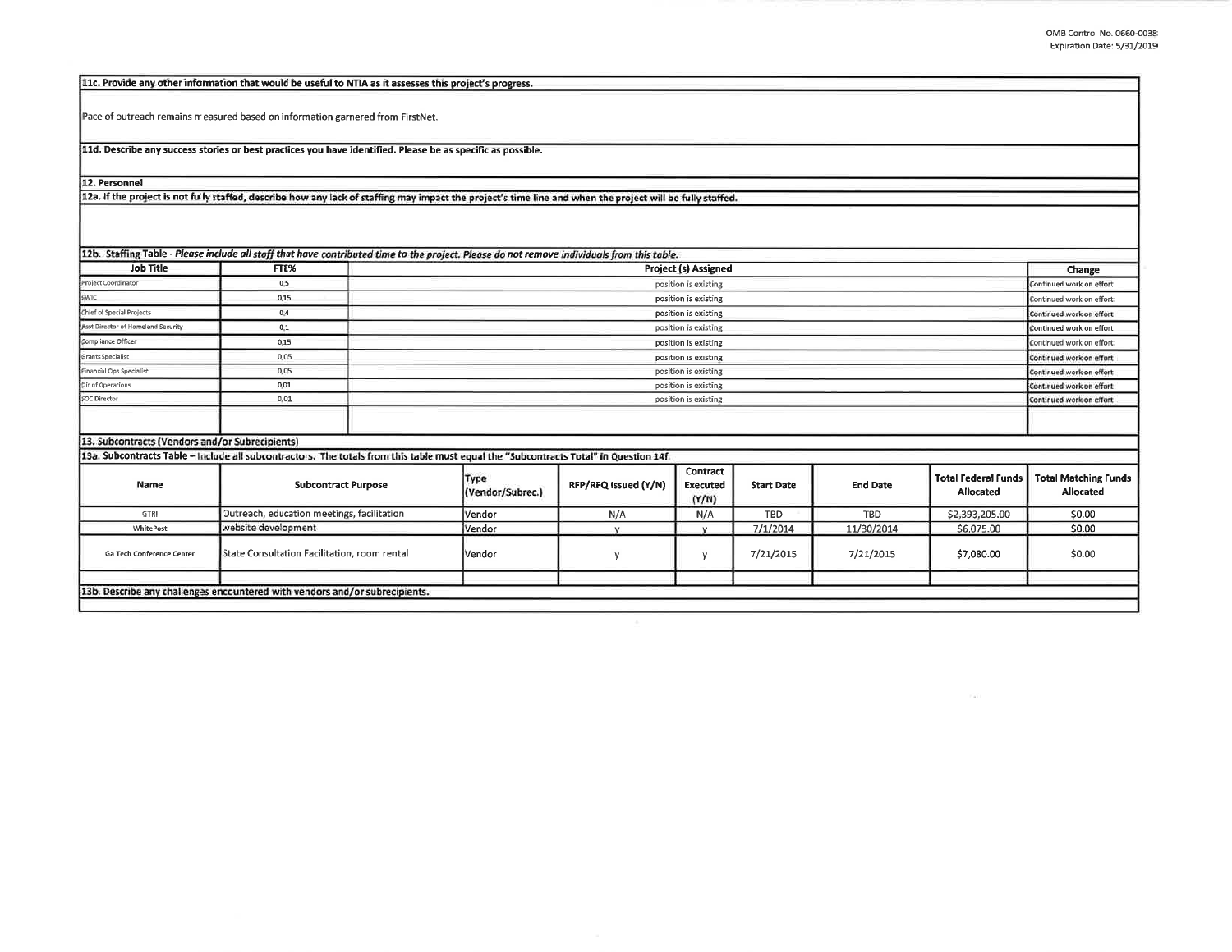$\Gamma$  all

| 11c. Provide any other information that would be useful to NTIA as it assesses this project's progress.                                                    |                                              |                            |        |                      |                               |                   |                 |                                         |                                          |
|------------------------------------------------------------------------------------------------------------------------------------------------------------|----------------------------------------------|----------------------------|--------|----------------------|-------------------------------|-------------------|-----------------|-----------------------------------------|------------------------------------------|
| Pace of outreach remains measured based on information garnered from FirstNet.                                                                             |                                              |                            |        |                      |                               |                   |                 |                                         |                                          |
| 11d. Describe any success stories or best practices you have identified. Please be as specific as possible.                                                |                                              |                            |        |                      |                               |                   |                 |                                         |                                          |
| 12. Personnel                                                                                                                                              |                                              |                            |        |                      |                               |                   |                 |                                         |                                          |
| 12a. If the project is not fully staffed, describe how any lack of staffing may impact the project's time line and when the project will be fully staffed. |                                              |                            |        |                      |                               |                   |                 |                                         |                                          |
|                                                                                                                                                            |                                              |                            |        |                      |                               |                   |                 |                                         |                                          |
| 12b. Staffing Table - Please include all staff that have contributed time to the project. Please do not remove individuals from this table.                |                                              |                            |        |                      |                               |                   |                 |                                         |                                          |
| <b>Job Title</b>                                                                                                                                           | FTE%                                         |                            |        |                      | <b>Project (s) Assigned</b>   |                   |                 |                                         | Change                                   |
| Project Coordinator                                                                                                                                        | 0.5                                          |                            |        |                      | position is existing          |                   |                 |                                         | Continued work on effort                 |
| <b>SWIC</b>                                                                                                                                                | 0.15                                         | position is existing       |        |                      |                               |                   |                 |                                         | Continued work on effort                 |
| Chief of Special Projects                                                                                                                                  | 0.4                                          | position is existing       |        |                      |                               |                   |                 |                                         | Continued work on effort                 |
| Asst Director of Homeland Security                                                                                                                         | 0.1                                          | position is existing       |        |                      |                               |                   |                 |                                         | Continued work on effort                 |
| Compliance Officer                                                                                                                                         | 0.15                                         | position is existing       |        |                      |                               |                   |                 |                                         | Continued work on effort                 |
| Grants Specialist                                                                                                                                          | 0.05                                         | position is existing       |        |                      |                               |                   |                 |                                         | Continued work on effort                 |
| Financial Ops Specialist                                                                                                                                   | 0.05                                         | position is existing       |        |                      |                               |                   |                 |                                         | Continued work on effort                 |
| Dir of Operations                                                                                                                                          | 0.01                                         | position is existing       |        |                      |                               |                   |                 |                                         | Continued work on effort                 |
| <b>SOC Director</b>                                                                                                                                        | 0.01                                         | position is existing       |        |                      |                               |                   |                 |                                         | Continued work on effort                 |
|                                                                                                                                                            |                                              |                            |        |                      |                               |                   |                 |                                         |                                          |
| 13. Subcontracts (Vendors and/or Subrecipients)                                                                                                            |                                              |                            |        |                      |                               |                   |                 |                                         |                                          |
| 13a. Subcontracts Table - Include all subcontractors. The totals from this table must equal the "Subcontracts Total" in Question 14f.                      |                                              |                            |        |                      |                               |                   |                 |                                         |                                          |
| Name                                                                                                                                                       |                                              | <b>Subcontract Purpose</b> |        | RFP/RFQ Issued (Y/N) | Contract<br>Executed<br>(Y/N) | <b>Start Date</b> | <b>End Date</b> | <b>Total Federal Funds</b><br>Allocated | <b>Total Matching Funds</b><br>Allocated |
| GTRI                                                                                                                                                       | Outreach, education meetings, facilitation   |                            | Vendor | N/A                  | N/A                           | <b>TBD</b>        | <b>TBD</b>      | \$2,393,205.00                          | \$0.00                                   |
| WhitePost                                                                                                                                                  | website development                          |                            | Vendor | $\mathbf{v}$         | v                             | 7/1/2014          | 11/30/2014      | \$6,075.00                              | \$0.00                                   |
| Ga Tech Conference Center                                                                                                                                  | State Consultation Facilitation, room rental |                            | Vendor |                      | $\mathsf{v}$                  | 7/21/2015         | 7/21/2015       | \$7,080.00                              | \$0.00                                   |
|                                                                                                                                                            |                                              |                            |        |                      |                               |                   |                 |                                         |                                          |
| 13b. Describe any challenges encountered with vendors and/or subrecipients.                                                                                |                                              |                            |        |                      |                               |                   |                 |                                         |                                          |